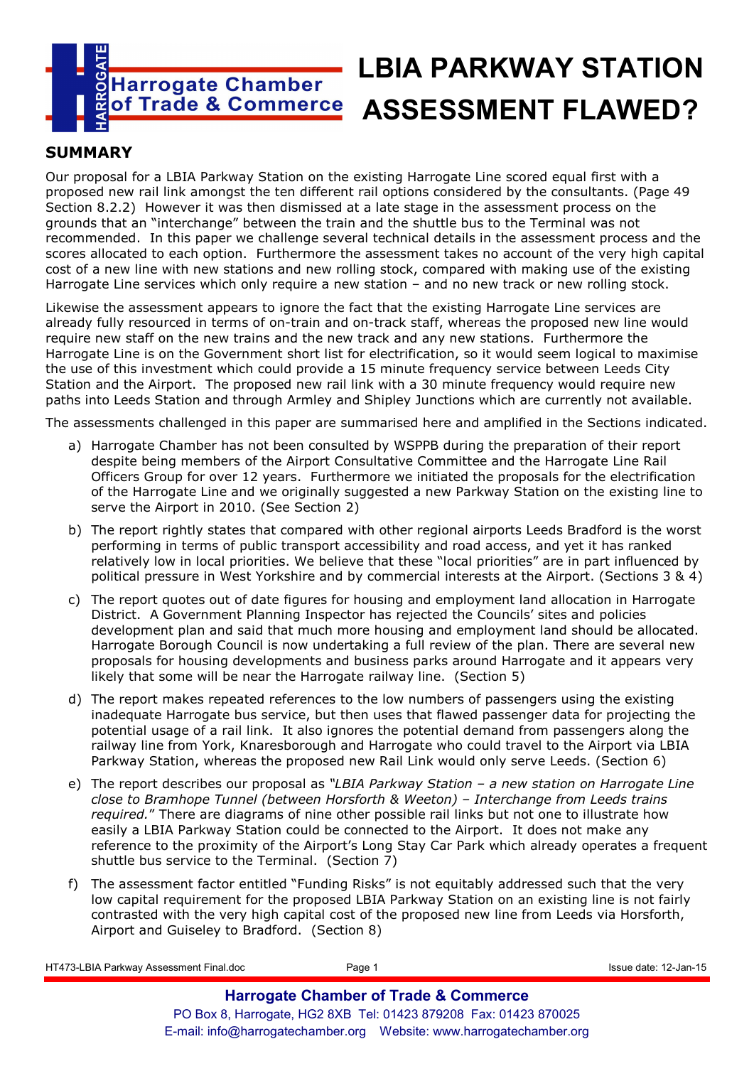

# **LBIA PARKWAY STATION**  of Trade & Commerce ASSESSMENT FLAWED?

## **SUMMARY**

Our proposal for a LBIA Parkway Station on the existing Harrogate Line scored equal first with a proposed new rail link amongst the ten different rail options considered by the consultants. (Page 49 Section 8.2.2) However it was then dismissed at a late stage in the assessment process on the grounds that an "interchange" between the train and the shuttle bus to the Terminal was not recommended. In this paper we challenge several technical details in the assessment process and the scores allocated to each option. Furthermore the assessment takes no account of the very high capital cost of a new line with new stations and new rolling stock, compared with making use of the existing Harrogate Line services which only require a new station – and no new track or new rolling stock.

Likewise the assessment appears to ignore the fact that the existing Harrogate Line services are already fully resourced in terms of on-train and on-track staff, whereas the proposed new line would require new staff on the new trains and the new track and any new stations. Furthermore the Harrogate Line is on the Government short list for electrification, so it would seem logical to maximise the use of this investment which could provide a 15 minute frequency service between Leeds City Station and the Airport. The proposed new rail link with a 30 minute frequency would require new paths into Leeds Station and through Armley and Shipley Junctions which are currently not available.

The assessments challenged in this paper are summarised here and amplified in the Sections indicated.

- a) Harrogate Chamber has not been consulted by WSPPB during the preparation of their report despite being members of the Airport Consultative Committee and the Harrogate Line Rail Officers Group for over 12 years. Furthermore we initiated the proposals for the electrification of the Harrogate Line and we originally suggested a new Parkway Station on the existing line to serve the Airport in 2010. (See Section 2)
- b) The report rightly states that compared with other regional airports Leeds Bradford is the worst performing in terms of public transport accessibility and road access, and yet it has ranked relatively low in local priorities. We believe that these "local priorities" are in part influenced by political pressure in West Yorkshire and by commercial interests at the Airport. (Sections 3 & 4)
- c) The report quotes out of date figures for housing and employment land allocation in Harrogate District. A Government Planning Inspector has rejected the Councils' sites and policies development plan and said that much more housing and employment land should be allocated. Harrogate Borough Council is now undertaking a full review of the plan. There are several new proposals for housing developments and business parks around Harrogate and it appears very likely that some will be near the Harrogate railway line. (Section 5)
- d) The report makes repeated references to the low numbers of passengers using the existing inadequate Harrogate bus service, but then uses that flawed passenger data for projecting the potential usage of a rail link. It also ignores the potential demand from passengers along the railway line from York, Knaresborough and Harrogate who could travel to the Airport via LBIA Parkway Station, whereas the proposed new Rail Link would only serve Leeds. (Section 6)
- e) The report describes our proposal as *"LBIA Parkway Station a new station on Harrogate Line close to Bramhope Tunnel (between Horsforth & Weeton) – Interchange from Leeds trains required.*" There are diagrams of nine other possible rail links but not one to illustrate how easily a LBIA Parkway Station could be connected to the Airport. It does not make any reference to the proximity of the Airport's Long Stay Car Park which already operates a frequent shuttle bus service to the Terminal. (Section 7)
- f) The assessment factor entitled "Funding Risks" is not equitably addressed such that the very low capital requirement for the proposed LBIA Parkway Station on an existing line is not fairly contrasted with the very high capital cost of the proposed new line from Leeds via Horsforth, Airport and Guiseley to Bradford. (Section 8)

| HT473-LBIA Parkway Assessment Final.doc | Page 1                                                           | Issue date: 12-Jan-15 |
|-----------------------------------------|------------------------------------------------------------------|-----------------------|
|                                         | <b>Harrogate Chamber of Trade &amp; Commerce</b>                 |                       |
|                                         | PO Box 8, Harrogate, HG2 8XB Tel: 01423 879208 Fax: 01423 870025 |                       |
|                                         |                                                                  |                       |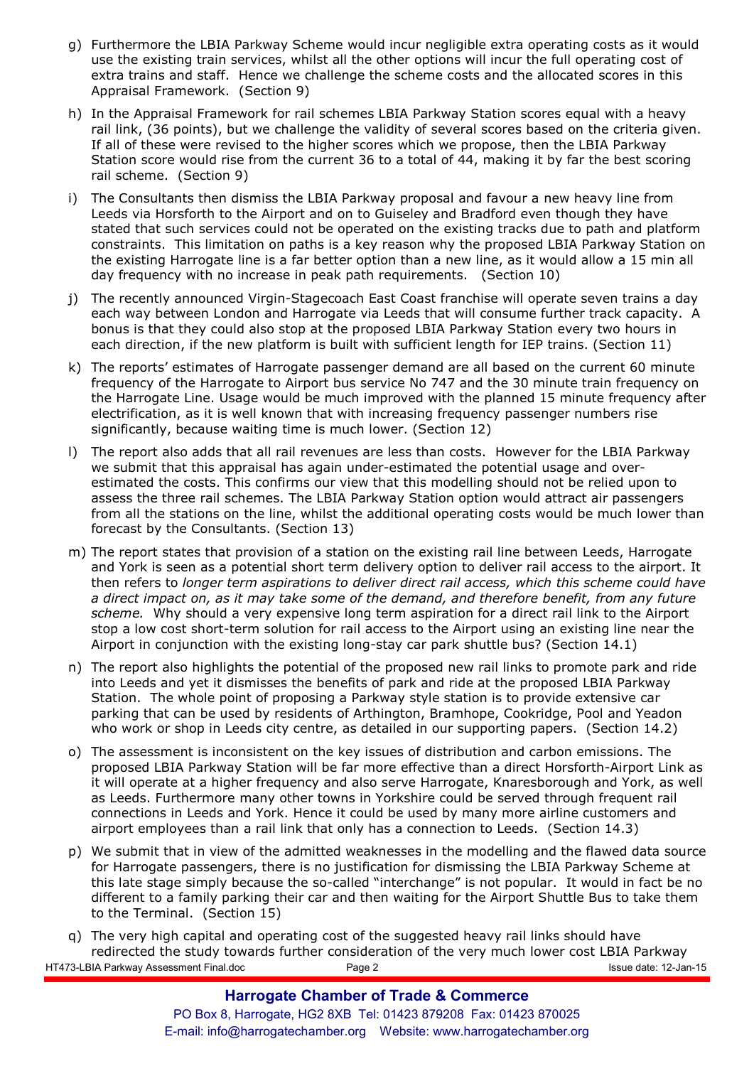- g) Furthermore the LBIA Parkway Scheme would incur negligible extra operating costs as it would use the existing train services, whilst all the other options will incur the full operating cost of extra trains and staff. Hence we challenge the scheme costs and the allocated scores in this Appraisal Framework. (Section 9)
- h) In the Appraisal Framework for rail schemes LBIA Parkway Station scores equal with a heavy rail link, (36 points), but we challenge the validity of several scores based on the criteria given. If all of these were revised to the higher scores which we propose, then the LBIA Parkway Station score would rise from the current 36 to a total of 44, making it by far the best scoring rail scheme. (Section 9)
- i) The Consultants then dismiss the LBIA Parkway proposal and favour a new heavy line from Leeds via Horsforth to the Airport and on to Guiseley and Bradford even though they have stated that such services could not be operated on the existing tracks due to path and platform constraints. This limitation on paths is a key reason why the proposed LBIA Parkway Station on the existing Harrogate line is a far better option than a new line, as it would allow a 15 min all day frequency with no increase in peak path requirements. (Section 10)
- j) The recently announced Virgin-Stagecoach East Coast franchise will operate seven trains a day each way between London and Harrogate via Leeds that will consume further track capacity. A bonus is that they could also stop at the proposed LBIA Parkway Station every two hours in each direction, if the new platform is built with sufficient length for IEP trains. (Section 11)
- k) The reports' estimates of Harrogate passenger demand are all based on the current 60 minute frequency of the Harrogate to Airport bus service No 747 and the 30 minute train frequency on the Harrogate Line. Usage would be much improved with the planned 15 minute frequency after electrification, as it is well known that with increasing frequency passenger numbers rise significantly, because waiting time is much lower. (Section 12)
- l) The report also adds that all rail revenues are less than costs. However for the LBIA Parkway we submit that this appraisal has again under-estimated the potential usage and overestimated the costs. This confirms our view that this modelling should not be relied upon to assess the three rail schemes. The LBIA Parkway Station option would attract air passengers from all the stations on the line, whilst the additional operating costs would be much lower than forecast by the Consultants. (Section 13)
- m) The report states that provision of a station on the existing rail line between Leeds, Harrogate and York is seen as a potential short term delivery option to deliver rail access to the airport. It then refers to *longer term aspirations to deliver direct rail access, which this scheme could have a direct impact on, as it may take some of the demand, and therefore benefit, from any future scheme.* Why should a very expensive long term aspiration for a direct rail link to the Airport stop a low cost short-term solution for rail access to the Airport using an existing line near the Airport in conjunction with the existing long-stay car park shuttle bus? (Section 14.1)
- n) The report also highlights the potential of the proposed new rail links to promote park and ride into Leeds and yet it dismisses the benefits of park and ride at the proposed LBIA Parkway Station. The whole point of proposing a Parkway style station is to provide extensive car parking that can be used by residents of Arthington, Bramhope, Cookridge, Pool and Yeadon who work or shop in Leeds city centre, as detailed in our supporting papers. (Section 14.2)
- o) The assessment is inconsistent on the key issues of distribution and carbon emissions. The proposed LBIA Parkway Station will be far more effective than a direct Horsforth-Airport Link as it will operate at a higher frequency and also serve Harrogate, Knaresborough and York, as well as Leeds. Furthermore many other towns in Yorkshire could be served through frequent rail connections in Leeds and York. Hence it could be used by many more airline customers and airport employees than a rail link that only has a connection to Leeds. (Section 14.3)
- p) We submit that in view of the admitted weaknesses in the modelling and the flawed data source for Harrogate passengers, there is no justification for dismissing the LBIA Parkway Scheme at this late stage simply because the so-called "interchange" is not popular. It would in fact be no different to a family parking their car and then waiting for the Airport Shuttle Bus to take them to the Terminal. (Section 15)
- HT473-LBIA Parkway Assessment Final.doc Page 2 Issue date: 12-Jan-15 q) The very high capital and operating cost of the suggested heavy rail links should have redirected the study towards further consideration of the very much lower cost LBIA Parkway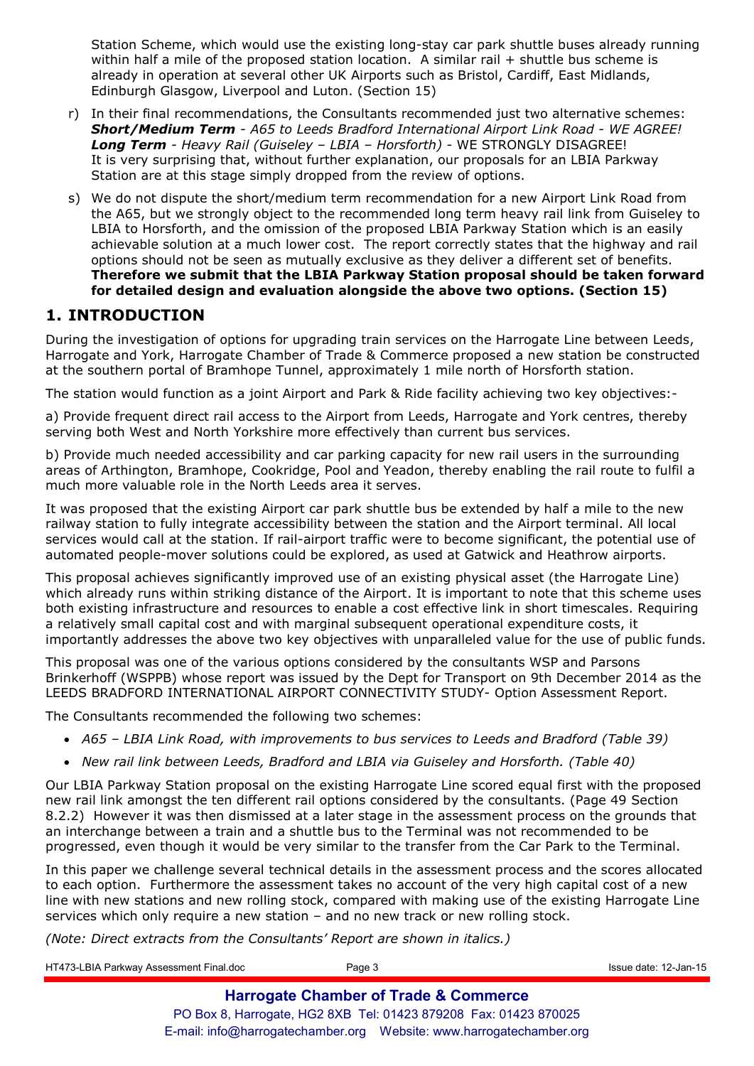Station Scheme, which would use the existing long-stay car park shuttle buses already running within half a mile of the proposed station location. A similar rail + shuttle bus scheme is already in operation at several other UK Airports such as Bristol, Cardiff, East Midlands, Edinburgh Glasgow, Liverpool and Luton. (Section 15)

- r) In their final recommendations, the Consultants recommended just two alternative schemes: *Short/Medium Term - A65 to Leeds Bradford International Airport Link Road - WE AGREE! Long Term - Heavy Rail (Guiseley – LBIA – Horsforth) -* WE STRONGLY DISAGREE! It is very surprising that, without further explanation, our proposals for an LBIA Parkway Station are at this stage simply dropped from the review of options.
- s) We do not dispute the short/medium term recommendation for a new Airport Link Road from the A65, but we strongly object to the recommended long term heavy rail link from Guiseley to LBIA to Horsforth, and the omission of the proposed LBIA Parkway Station which is an easily achievable solution at a much lower cost. The report correctly states that the highway and rail options should not be seen as mutually exclusive as they deliver a different set of benefits. **Therefore we submit that the LBIA Parkway Station proposal should be taken forward for detailed design and evaluation alongside the above two options. (Section 15)**

### **1. INTRODUCTION**

During the investigation of options for upgrading train services on the Harrogate Line between Leeds, Harrogate and York, Harrogate Chamber of Trade & Commerce proposed a new station be constructed at the southern portal of Bramhope Tunnel, approximately 1 mile north of Horsforth station.

The station would function as a joint Airport and Park & Ride facility achieving two key objectives:-

a) Provide frequent direct rail access to the Airport from Leeds, Harrogate and York centres, thereby serving both West and North Yorkshire more effectively than current bus services.

b) Provide much needed accessibility and car parking capacity for new rail users in the surrounding areas of Arthington, Bramhope, Cookridge, Pool and Yeadon, thereby enabling the rail route to fulfil a much more valuable role in the North Leeds area it serves.

It was proposed that the existing Airport car park shuttle bus be extended by half a mile to the new railway station to fully integrate accessibility between the station and the Airport terminal. All local services would call at the station. If rail-airport traffic were to become significant, the potential use of automated people-mover solutions could be explored, as used at Gatwick and Heathrow airports.

This proposal achieves significantly improved use of an existing physical asset (the Harrogate Line) which already runs within striking distance of the Airport. It is important to note that this scheme uses both existing infrastructure and resources to enable a cost effective link in short timescales. Requiring a relatively small capital cost and with marginal subsequent operational expenditure costs, it importantly addresses the above two key objectives with unparalleled value for the use of public funds.

This proposal was one of the various options considered by the consultants WSP and Parsons Brinkerhoff (WSPPB) whose report was issued by the Dept for Transport on 9th December 2014 as the LEEDS BRADFORD INTERNATIONAL AIRPORT CONNECTIVITY STUDY- Option Assessment Report.

The Consultants recommended the following two schemes:

- *A65 LBIA Link Road, with improvements to bus services to Leeds and Bradford (Table 39)*
- *New rail link between Leeds, Bradford and LBIA via Guiseley and Horsforth. (Table 40)*

Our LBIA Parkway Station proposal on the existing Harrogate Line scored equal first with the proposed new rail link amongst the ten different rail options considered by the consultants. (Page 49 Section 8.2.2) However it was then dismissed at a later stage in the assessment process on the grounds that an interchange between a train and a shuttle bus to the Terminal was not recommended to be progressed, even though it would be very similar to the transfer from the Car Park to the Terminal.

In this paper we challenge several technical details in the assessment process and the scores allocated to each option. Furthermore the assessment takes no account of the very high capital cost of a new line with new stations and new rolling stock, compared with making use of the existing Harrogate Line services which only require a new station – and no new track or new rolling stock.

*(Note: Direct extracts from the Consultants' Report are shown in italics.)* 

HT473-LBIA Parkway Assessment Final.doc Page 3 Issue date: 12-Jan-15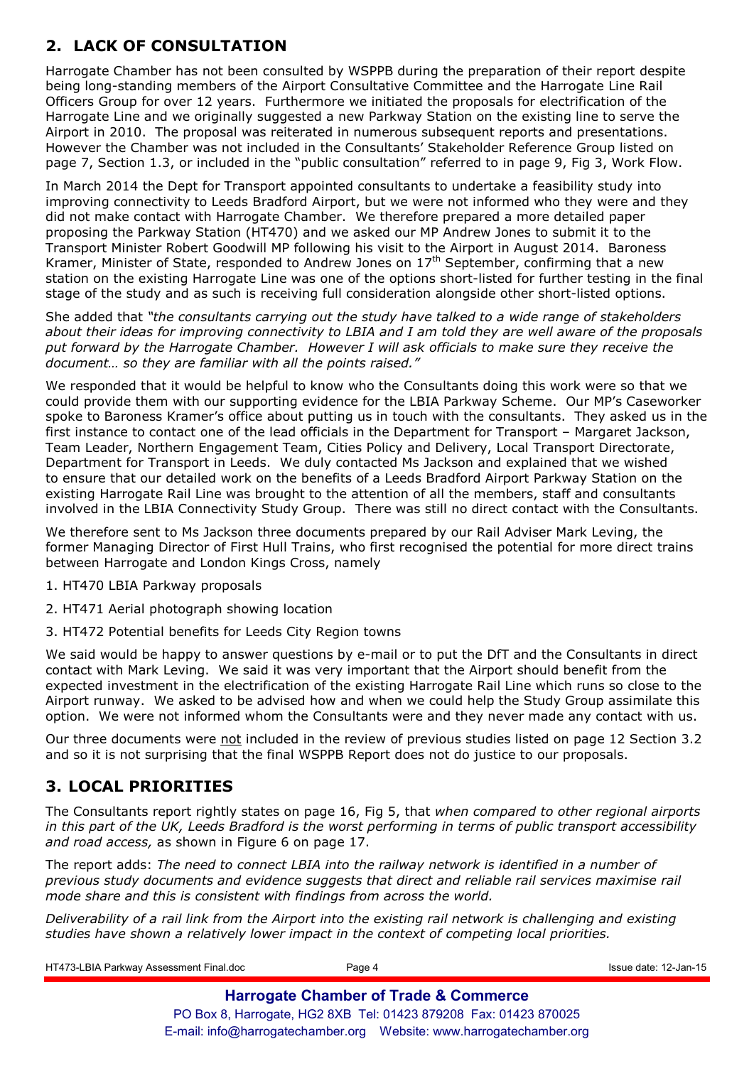# **2. LACK OF CONSULTATION**

Harrogate Chamber has not been consulted by WSPPB during the preparation of their report despite being long-standing members of the Airport Consultative Committee and the Harrogate Line Rail Officers Group for over 12 years. Furthermore we initiated the proposals for electrification of the Harrogate Line and we originally suggested a new Parkway Station on the existing line to serve the Airport in 2010. The proposal was reiterated in numerous subsequent reports and presentations. However the Chamber was not included in the Consultants' Stakeholder Reference Group listed on page 7, Section 1.3, or included in the "public consultation" referred to in page 9, Fig 3, Work Flow.

In March 2014 the Dept for Transport appointed consultants to undertake a feasibility study into improving connectivity to Leeds Bradford Airport, but we were not informed who they were and they did not make contact with Harrogate Chamber. We therefore prepared a more detailed paper proposing the Parkway Station (HT470) and we asked our MP Andrew Jones to submit it to the Transport Minister Robert Goodwill MP following his visit to the Airport in August 2014. Baroness Kramer, Minister of State, responded to Andrew Jones on  $17<sup>th</sup>$  September, confirming that a new station on the existing Harrogate Line was one of the options short-listed for further testing in the final stage of the study and as such is receiving full consideration alongside other short-listed options.

She added that *"the consultants carrying out the study have talked to a wide range of stakeholders about their ideas for improving connectivity to LBIA and I am told they are well aware of the proposals put forward by the Harrogate Chamber. However I will ask officials to make sure they receive the document… so they are familiar with all the points raised."*

We responded that it would be helpful to know who the Consultants doing this work were so that we could provide them with our supporting evidence for the LBIA Parkway Scheme. Our MP's Caseworker spoke to Baroness Kramer's office about putting us in touch with the consultants. They asked us in the first instance to contact one of the lead officials in the Department for Transport – Margaret Jackson, Team Leader, Northern Engagement Team, Cities Policy and Delivery, Local Transport Directorate, Department for Transport in Leeds. We duly contacted Ms Jackson and explained that we wished to ensure that our detailed work on the benefits of a Leeds Bradford Airport Parkway Station on the existing Harrogate Rail Line was brought to the attention of all the members, staff and consultants involved in the LBIA Connectivity Study Group. There was still no direct contact with the Consultants.

We therefore sent to Ms Jackson three documents prepared by our Rail Adviser Mark Leving, the former Managing Director of First Hull Trains, who first recognised the potential for more direct trains between Harrogate and London Kings Cross, namely

- 1. HT470 LBIA Parkway proposals
- 2. HT471 Aerial photograph showing location
- 3. HT472 Potential benefits for Leeds City Region towns

We said would be happy to answer questions by e-mail or to put the DfT and the Consultants in direct contact with Mark Leving. We said it was very important that the Airport should benefit from the expected investment in the electrification of the existing Harrogate Rail Line which runs so close to the Airport runway. We asked to be advised how and when we could help the Study Group assimilate this option. We were not informed whom the Consultants were and they never made any contact with us.

Our three documents were not included in the review of previous studies listed on page 12 Section 3.2 and so it is not surprising that the final WSPPB Report does not do justice to our proposals.

# **3. LOCAL PRIORITIES**

The Consultants report rightly states on page 16, Fig 5, that *when compared to other regional airports in this part of the UK, Leeds Bradford is the worst performing in terms of public transport accessibility and road access,* as shown in Figure 6 on page 17.

The report adds: *The need to connect LBIA into the railway network is identified in a number of previous study documents and evidence suggests that direct and reliable rail services maximise rail mode share and this is consistent with findings from across the world.* 

*Deliverability of a rail link from the Airport into the existing rail network is challenging and existing studies have shown a relatively lower impact in the context of competing local priorities.* 

| HT473-LBIA Parkway Assessment Final.doc | Page 4                                                           | Issue date: 12-Jan-15 |
|-----------------------------------------|------------------------------------------------------------------|-----------------------|
|                                         | <b>Harrogate Chamber of Trade &amp; Commerce</b>                 |                       |
|                                         | PO Box 8, Harrogate, HG2 8XB Tel: 01423 879208 Fax: 01423 870025 |                       |
|                                         |                                                                  |                       |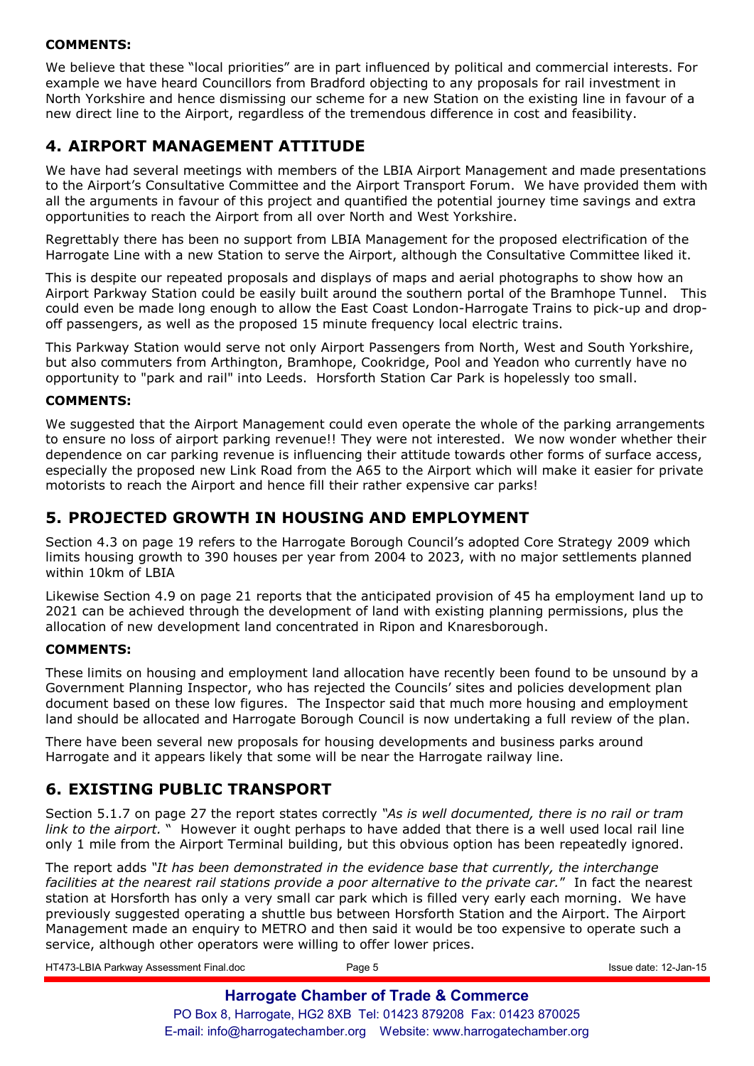### **COMMENTS:**

We believe that these "local priorities" are in part influenced by political and commercial interests. For example we have heard Councillors from Bradford objecting to any proposals for rail investment in North Yorkshire and hence dismissing our scheme for a new Station on the existing line in favour of a new direct line to the Airport, regardless of the tremendous difference in cost and feasibility.

# **4. AIRPORT MANAGEMENT ATTITUDE**

We have had several meetings with members of the LBIA Airport Management and made presentations to the Airport's Consultative Committee and the Airport Transport Forum. We have provided them with all the arguments in favour of this project and quantified the potential journey time savings and extra opportunities to reach the Airport from all over North and West Yorkshire.

Regrettably there has been no support from LBIA Management for the proposed electrification of the Harrogate Line with a new Station to serve the Airport, although the Consultative Committee liked it.

This is despite our repeated proposals and displays of maps and aerial photographs to show how an Airport Parkway Station could be easily built around the southern portal of the Bramhope Tunnel. This could even be made long enough to allow the East Coast London-Harrogate Trains to pick-up and dropoff passengers, as well as the proposed 15 minute frequency local electric trains.

This Parkway Station would serve not only Airport Passengers from North, West and South Yorkshire, but also commuters from Arthington, Bramhope, Cookridge, Pool and Yeadon who currently have no opportunity to "park and rail" into Leeds. Horsforth Station Car Park is hopelessly too small.

### **COMMENTS:**

We suggested that the Airport Management could even operate the whole of the parking arrangements to ensure no loss of airport parking revenue!! They were not interested. We now wonder whether their dependence on car parking revenue is influencing their attitude towards other forms of surface access, especially the proposed new Link Road from the A65 to the Airport which will make it easier for private motorists to reach the Airport and hence fill their rather expensive car parks!

### **5. PROJECTED GROWTH IN HOUSING AND EMPLOYMENT**

Section 4.3 on page 19 refers to the Harrogate Borough Council's adopted Core Strategy 2009 which limits housing growth to 390 houses per year from 2004 to 2023, with no major settlements planned within 10km of LBIA

Likewise Section 4.9 on page 21 reports that the anticipated provision of 45 ha employment land up to 2021 can be achieved through the development of land with existing planning permissions, plus the allocation of new development land concentrated in Ripon and Knaresborough.

### **COMMENTS:**

These limits on housing and employment land allocation have recently been found to be unsound by a Government Planning Inspector, who has rejected the Councils' sites and policies development plan document based on these low figures. The Inspector said that much more housing and employment land should be allocated and Harrogate Borough Council is now undertaking a full review of the plan.

There have been several new proposals for housing developments and business parks around Harrogate and it appears likely that some will be near the Harrogate railway line.

# **6. EXISTING PUBLIC TRANSPORT**

Section 5.1.7 on page 27 the report states correctly *"As is well documented, there is no rail or tram link to the airport.* " However it ought perhaps to have added that there is a well used local rail line only 1 mile from the Airport Terminal building, but this obvious option has been repeatedly ignored.

The report adds *"It has been demonstrated in the evidence base that currently, the interchange facilities at the nearest rail stations provide a poor alternative to the private car.*" In fact the nearest station at Horsforth has only a very small car park which is filled very early each morning. We have previously suggested operating a shuttle bus between Horsforth Station and the Airport. The Airport Management made an enquiry to METRO and then said it would be too expensive to operate such a service, although other operators were willing to offer lower prices.

| HT473-LBIA Parkway Assessment Final.doc | Page 5                                                           | Issue date: 12-Jan-15 |
|-----------------------------------------|------------------------------------------------------------------|-----------------------|
|                                         | <b>Harrogate Chamber of Trade &amp; Commerce</b>                 |                       |
|                                         | PO Box 8, Harrogate, HG2 8XB Tel: 01423 879208 Fax: 01423 870025 |                       |
|                                         |                                                                  |                       |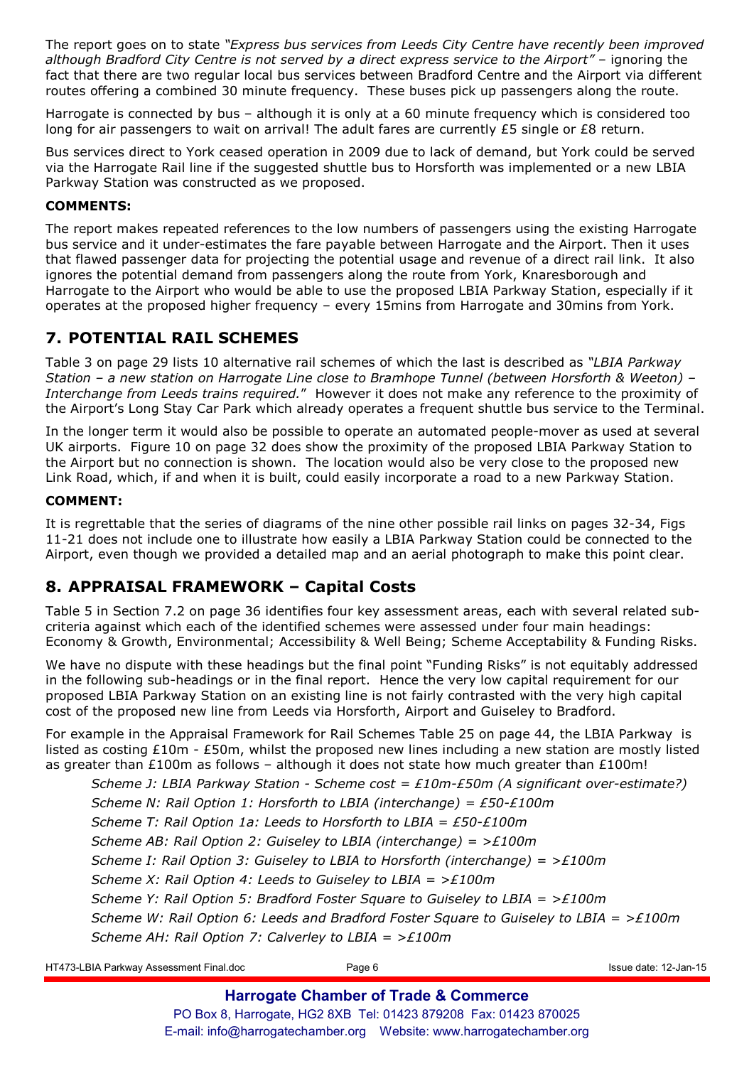The report goes on to state *"Express bus services from Leeds City Centre have recently been improved although Bradford City Centre is not served by a direct express service to the Airport"* – ignoring the fact that there are two regular local bus services between Bradford Centre and the Airport via different routes offering a combined 30 minute frequency. These buses pick up passengers along the route.

Harrogate is connected by bus – although it is only at a 60 minute frequency which is considered too long for air passengers to wait on arrival! The adult fares are currently £5 single or £8 return.

Bus services direct to York ceased operation in 2009 due to lack of demand, but York could be served via the Harrogate Rail line if the suggested shuttle bus to Horsforth was implemented or a new LBIA Parkway Station was constructed as we proposed.

### **COMMENTS:**

The report makes repeated references to the low numbers of passengers using the existing Harrogate bus service and it under-estimates the fare payable between Harrogate and the Airport. Then it uses that flawed passenger data for projecting the potential usage and revenue of a direct rail link. It also ignores the potential demand from passengers along the route from York, Knaresborough and Harrogate to the Airport who would be able to use the proposed LBIA Parkway Station, especially if it operates at the proposed higher frequency – every 15mins from Harrogate and 30mins from York.

# **7. POTENTIAL RAIL SCHEMES**

Table 3 on page 29 lists 10 alternative rail schemes of which the last is described as *"LBIA Parkway Station – a new station on Harrogate Line close to Bramhope Tunnel (between Horsforth & Weeton) – Interchange from Leeds trains required.*" However it does not make any reference to the proximity of the Airport's Long Stay Car Park which already operates a frequent shuttle bus service to the Terminal.

In the longer term it would also be possible to operate an automated people-mover as used at several UK airports. Figure 10 on page 32 does show the proximity of the proposed LBIA Parkway Station to the Airport but no connection is shown. The location would also be very close to the proposed new Link Road, which, if and when it is built, could easily incorporate a road to a new Parkway Station.

### **COMMENT:**

It is regrettable that the series of diagrams of the nine other possible rail links on pages 32-34, Figs 11-21 does not include one to illustrate how easily a LBIA Parkway Station could be connected to the Airport, even though we provided a detailed map and an aerial photograph to make this point clear.

# **8. APPRAISAL FRAMEWORK – Capital Costs**

Table 5 in Section 7.2 on page 36 identifies four key assessment areas, each with several related subcriteria against which each of the identified schemes were assessed under four main headings: Economy & Growth, Environmental; Accessibility & Well Being; Scheme Acceptability & Funding Risks.

We have no dispute with these headings but the final point "Funding Risks" is not equitably addressed in the following sub-headings or in the final report. Hence the very low capital requirement for our proposed LBIA Parkway Station on an existing line is not fairly contrasted with the very high capital cost of the proposed new line from Leeds via Horsforth, Airport and Guiseley to Bradford.

For example in the Appraisal Framework for Rail Schemes Table 25 on page 44, the LBIA Parkway is listed as costing £10m - £50m, whilst the proposed new lines including a new station are mostly listed as greater than £100m as follows – although it does not state how much greater than £100m!

*Scheme J: LBIA Parkway Station - Scheme cost = £10m-£50m (A significant over-estimate?) Scheme N: Rail Option 1: Horsforth to LBIA (interchange) = £50-£100m Scheme T: Rail Option 1a: Leeds to Horsforth to LBIA = £50-£100m Scheme AB: Rail Option 2: Guiseley to LBIA (interchange) = >£100m Scheme I: Rail Option 3: Guiseley to LBIA to Horsforth (interchange) = >£100m Scheme X: Rail Option 4: Leeds to Guiseley to LBIA = >£100m Scheme Y: Rail Option 5: Bradford Foster Square to Guiseley to LBIA = >£100m Scheme W: Rail Option 6: Leeds and Bradford Foster Square to Guiseley to LBIA = >£100m Scheme AH: Rail Option 7: Calverley to LBIA = >£100m* 

HT473-LBIA Parkway Assessment Final.doc **Page 6** Page 6 **Issue date: 12-Jan-15** Issue date: 12-Jan-15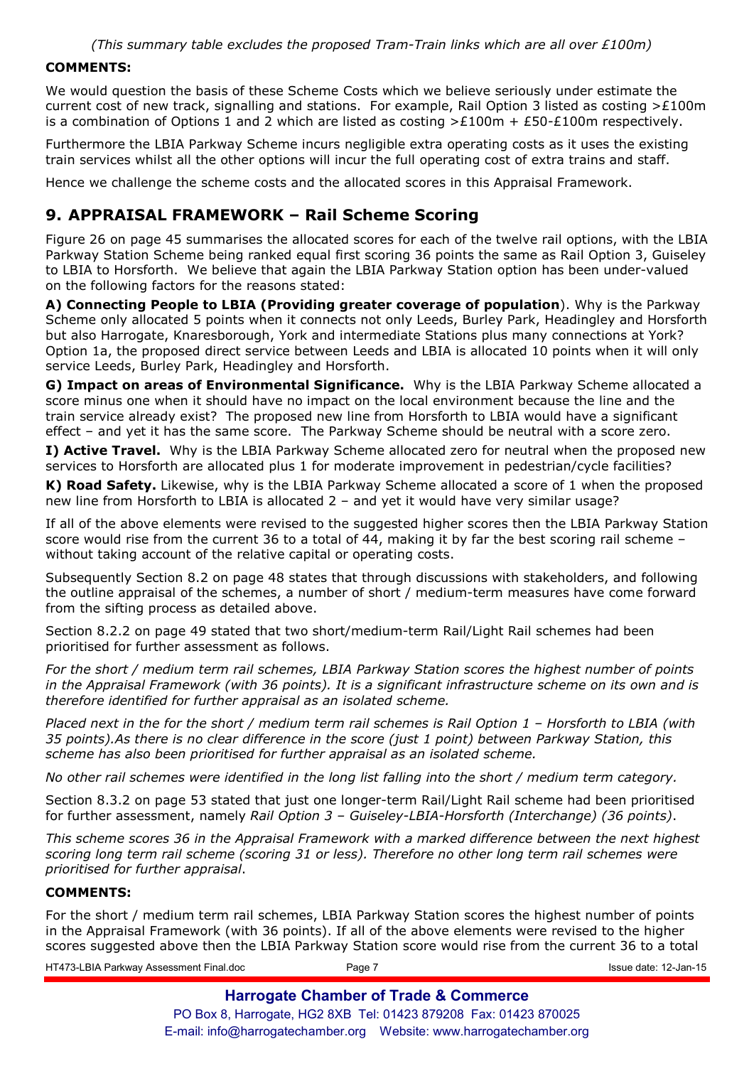### **COMMENTS:**

We would question the basis of these Scheme Costs which we believe seriously under estimate the current cost of new track, signalling and stations. For example, Rail Option 3 listed as costing  $\geq$ £100m is a combination of Options 1 and 2 which are listed as costing  $\geq$  £100m + £50-£100m respectively.

Furthermore the LBIA Parkway Scheme incurs negligible extra operating costs as it uses the existing train services whilst all the other options will incur the full operating cost of extra trains and staff.

Hence we challenge the scheme costs and the allocated scores in this Appraisal Framework.

# **9. APPRAISAL FRAMEWORK – Rail Scheme Scoring**

Figure 26 on page 45 summarises the allocated scores for each of the twelve rail options, with the LBIA Parkway Station Scheme being ranked equal first scoring 36 points the same as Rail Option 3, Guiseley to LBIA to Horsforth. We believe that again the LBIA Parkway Station option has been under-valued on the following factors for the reasons stated:

**A) Connecting People to LBIA (Providing greater coverage of population**). Why is the Parkway Scheme only allocated 5 points when it connects not only Leeds, Burley Park, Headingley and Horsforth but also Harrogate, Knaresborough, York and intermediate Stations plus many connections at York? Option 1a, the proposed direct service between Leeds and LBIA is allocated 10 points when it will only service Leeds, Burley Park, Headingley and Horsforth.

**G) Impact on areas of Environmental Significance.** Why is the LBIA Parkway Scheme allocated a score minus one when it should have no impact on the local environment because the line and the train service already exist? The proposed new line from Horsforth to LBIA would have a significant effect – and yet it has the same score. The Parkway Scheme should be neutral with a score zero.

**I) Active Travel.** Why is the LBIA Parkway Scheme allocated zero for neutral when the proposed new services to Horsforth are allocated plus 1 for moderate improvement in pedestrian/cycle facilities?

**K) Road Safety.** Likewise, why is the LBIA Parkway Scheme allocated a score of 1 when the proposed new line from Horsforth to LBIA is allocated 2 – and yet it would have very similar usage?

If all of the above elements were revised to the suggested higher scores then the LBIA Parkway Station score would rise from the current 36 to a total of 44, making it by far the best scoring rail scheme – without taking account of the relative capital or operating costs.

Subsequently Section 8.2 on page 48 states that through discussions with stakeholders, and following the outline appraisal of the schemes, a number of short / medium-term measures have come forward from the sifting process as detailed above.

Section 8.2.2 on page 49 stated that two short/medium-term Rail/Light Rail schemes had been prioritised for further assessment as follows.

*For the short / medium term rail schemes, LBIA Parkway Station scores the highest number of points in the Appraisal Framework (with 36 points). It is a significant infrastructure scheme on its own and is therefore identified for further appraisal as an isolated scheme.* 

*Placed next in the for the short / medium term rail schemes is Rail Option 1 – Horsforth to LBIA (with 35 points).As there is no clear difference in the score (just 1 point) between Parkway Station, this scheme has also been prioritised for further appraisal as an isolated scheme.* 

*No other rail schemes were identified in the long list falling into the short / medium term category.* 

Section 8.3.2 on page 53 stated that just one longer-term Rail/Light Rail scheme had been prioritised for further assessment, namely *Rail Option 3 – Guiseley-LBIA-Horsforth (Interchange) (36 points)*.

*This scheme scores 36 in the Appraisal Framework with a marked difference between the next highest scoring long term rail scheme (scoring 31 or less). Therefore no other long term rail schemes were prioritised for further appraisal*.

### **COMMENTS:**

For the short / medium term rail schemes, LBIA Parkway Station scores the highest number of points in the Appraisal Framework (with 36 points). If all of the above elements were revised to the higher scores suggested above then the LBIA Parkway Station score would rise from the current 36 to a total

HT473-LBIA Parkway Assessment Final.doc Page 7 Issue date: 12-Jan-15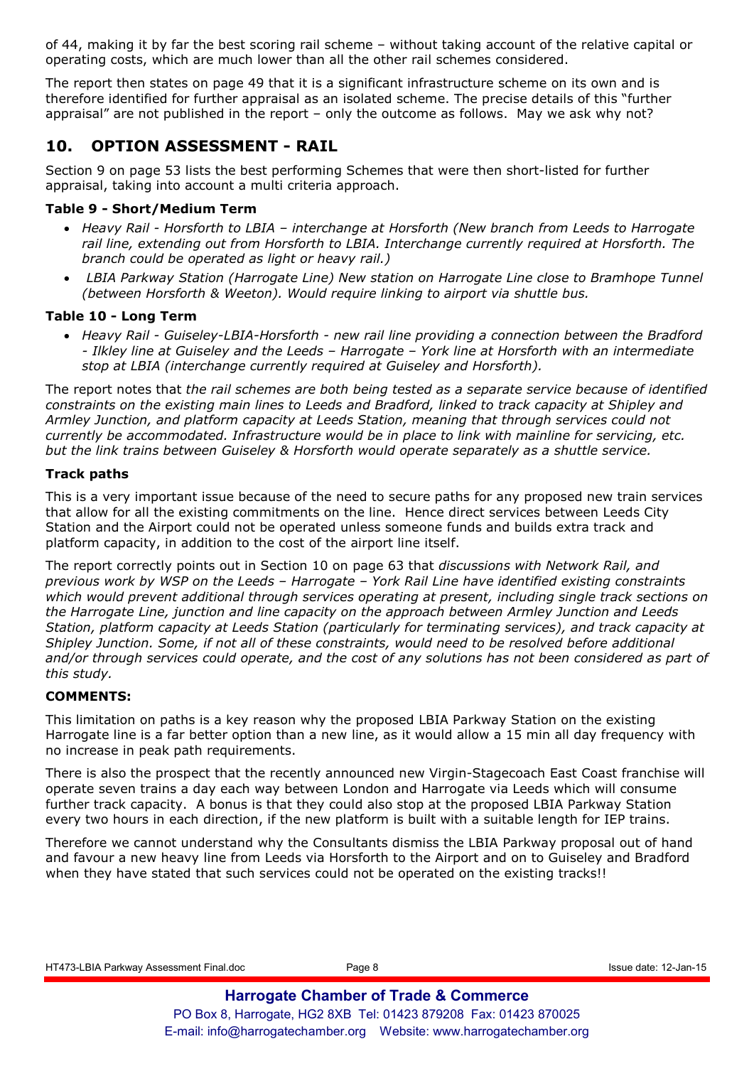of 44, making it by far the best scoring rail scheme – without taking account of the relative capital or operating costs, which are much lower than all the other rail schemes considered.

The report then states on page 49 that it is a significant infrastructure scheme on its own and is therefore identified for further appraisal as an isolated scheme. The precise details of this "further appraisal" are not published in the report – only the outcome as follows. May we ask why not?

### **10. OPTION ASSESSMENT - RAIL**

Section 9 on page 53 lists the best performing Schemes that were then short-listed for further appraisal, taking into account a multi criteria approach.

### **Table 9 - Short/Medium Term**

- *Heavy Rail Horsforth to LBIA interchange at Horsforth (New branch from Leeds to Harrogate rail line, extending out from Horsforth to LBIA. Interchange currently required at Horsforth. The branch could be operated as light or heavy rail.)*
- • *LBIA Parkway Station (Harrogate Line) New station on Harrogate Line close to Bramhope Tunnel (between Horsforth & Weeton). Would require linking to airport via shuttle bus.*

### **Table 10 - Long Term**

• *Heavy Rail - Guiseley-LBIA-Horsforth - new rail line providing a connection between the Bradford - Ilkley line at Guiseley and the Leeds – Harrogate – York line at Horsforth with an intermediate stop at LBIA (interchange currently required at Guiseley and Horsforth).* 

The report notes that *the rail schemes are both being tested as a separate service because of identified constraints on the existing main lines to Leeds and Bradford, linked to track capacity at Shipley and Armley Junction, and platform capacity at Leeds Station, meaning that through services could not currently be accommodated. Infrastructure would be in place to link with mainline for servicing, etc. but the link trains between Guiseley & Horsforth would operate separately as a shuttle service.*

### **Track paths**

This is a very important issue because of the need to secure paths for any proposed new train services that allow for all the existing commitments on the line. Hence direct services between Leeds City Station and the Airport could not be operated unless someone funds and builds extra track and platform capacity, in addition to the cost of the airport line itself.

The report correctly points out in Section 10 on page 63 that *discussions with Network Rail, and previous work by WSP on the Leeds – Harrogate – York Rail Line have identified existing constraints which would prevent additional through services operating at present, including single track sections on the Harrogate Line, junction and line capacity on the approach between Armley Junction and Leeds Station, platform capacity at Leeds Station (particularly for terminating services), and track capacity at Shipley Junction. Some, if not all of these constraints, would need to be resolved before additional and/or through services could operate, and the cost of any solutions has not been considered as part of this study.*

### **COMMENTS:**

This limitation on paths is a key reason why the proposed LBIA Parkway Station on the existing Harrogate line is a far better option than a new line, as it would allow a 15 min all day frequency with no increase in peak path requirements.

There is also the prospect that the recently announced new Virgin-Stagecoach East Coast franchise will operate seven trains a day each way between London and Harrogate via Leeds which will consume further track capacity. A bonus is that they could also stop at the proposed LBIA Parkway Station every two hours in each direction, if the new platform is built with a suitable length for IEP trains.

Therefore we cannot understand why the Consultants dismiss the LBIA Parkway proposal out of hand and favour a new heavy line from Leeds via Horsforth to the Airport and on to Guiseley and Bradford when they have stated that such services could not be operated on the existing tracks!!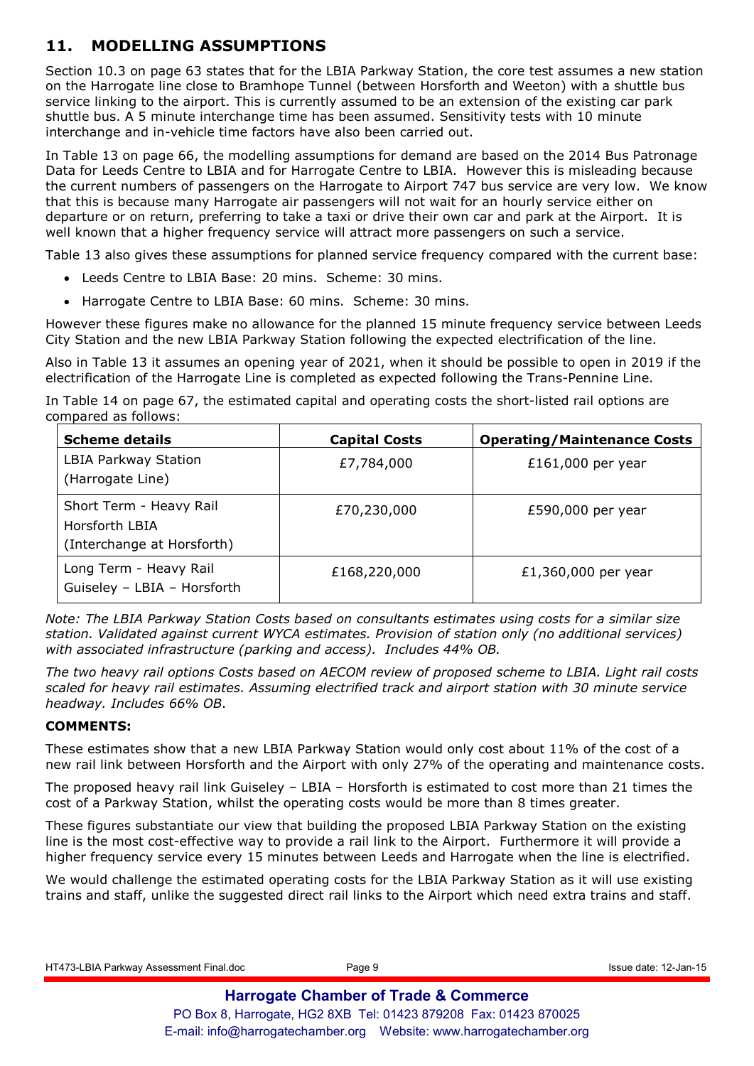# **11. MODELLING ASSUMPTIONS**

Section 10.3 on page 63 states that for the LBIA Parkway Station, the core test assumes a new station on the Harrogate line close to Bramhope Tunnel (between Horsforth and Weeton) with a shuttle bus service linking to the airport. This is currently assumed to be an extension of the existing car park shuttle bus. A 5 minute interchange time has been assumed. Sensitivity tests with 10 minute interchange and in-vehicle time factors have also been carried out.

In Table 13 on page 66, the modelling assumptions for demand are based on the 2014 Bus Patronage Data for Leeds Centre to LBIA and for Harrogate Centre to LBIA. However this is misleading because the current numbers of passengers on the Harrogate to Airport 747 bus service are very low. We know that this is because many Harrogate air passengers will not wait for an hourly service either on departure or on return, preferring to take a taxi or drive their own car and park at the Airport. It is well known that a higher frequency service will attract more passengers on such a service.

Table 13 also gives these assumptions for planned service frequency compared with the current base:

- Leeds Centre to LBIA Base: 20 mins. Scheme: 30 mins.
- Harrogate Centre to LBIA Base: 60 mins. Scheme: 30 mins.

However these figures make no allowance for the planned 15 minute frequency service between Leeds City Station and the new LBIA Parkway Station following the expected electrification of the line.

Also in Table 13 it assumes an opening year of 2021, when it should be possible to open in 2019 if the electrification of the Harrogate Line is completed as expected following the Trans-Pennine Line.

In Table 14 on page 67, the estimated capital and operating costs the short-listed rail options are compared as follows:

| <b>Scheme details</b>                                                   | <b>Capital Costs</b> | <b>Operating/Maintenance Costs</b> |
|-------------------------------------------------------------------------|----------------------|------------------------------------|
| LBIA Parkway Station<br>(Harrogate Line)                                | £7,784,000           | £161,000 per year                  |
| Short Term - Heavy Rail<br>Horsforth LBIA<br>(Interchange at Horsforth) | £70,230,000          | £590,000 per year                  |
| Long Term - Heavy Rail<br>Guiseley - LBIA - Horsforth                   | £168,220,000         | £1,360,000 per year                |

*Note: The LBIA Parkway Station Costs based on consultants estimates using costs for a similar size station. Validated against current WYCA estimates. Provision of station only (no additional services) with associated infrastructure (parking and access). Includes 44% OB.* 

*The two heavy rail options Costs based on AECOM review of proposed scheme to LBIA. Light rail costs scaled for heavy rail estimates. Assuming electrified track and airport station with 30 minute service headway. Includes 66% OB*.

### **COMMENTS:**

These estimates show that a new LBIA Parkway Station would only cost about 11% of the cost of a new rail link between Horsforth and the Airport with only 27% of the operating and maintenance costs.

The proposed heavy rail link Guiseley – LBIA – Horsforth is estimated to cost more than 21 times the cost of a Parkway Station, whilst the operating costs would be more than 8 times greater.

These figures substantiate our view that building the proposed LBIA Parkway Station on the existing line is the most cost-effective way to provide a rail link to the Airport. Furthermore it will provide a higher frequency service every 15 minutes between Leeds and Harrogate when the line is electrified.

We would challenge the estimated operating costs for the LBIA Parkway Station as it will use existing trains and staff, unlike the suggested direct rail links to the Airport which need extra trains and staff.

| HT473-LBIA Parkway Assessment Final.doc | Page 9 |  |
|-----------------------------------------|--------|--|
|                                         |        |  |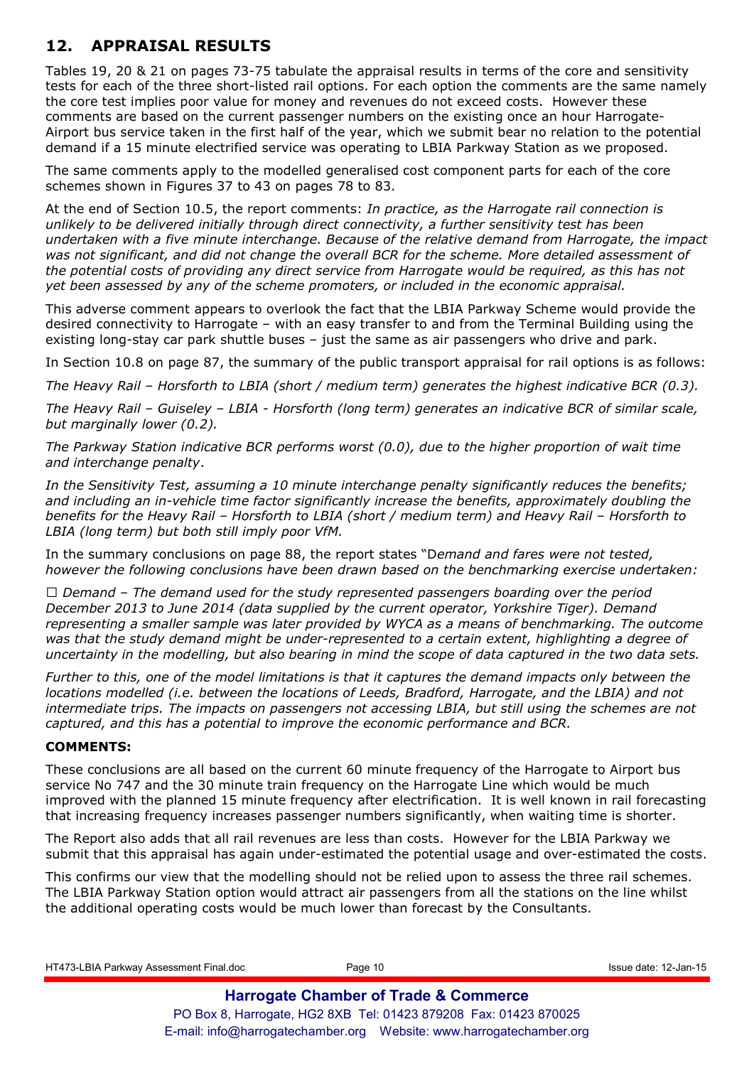# **12. APPRAISAL RESULTS**

Tables 19, 20 & 21 on pages 73-75 tabulate the appraisal results in terms of the core and sensitivity tests for each of the three short-listed rail options. For each option the comments are the same namely the core test implies poor value for money and revenues do not exceed costs. However these comments are based on the current passenger numbers on the existing once an hour Harrogate-Airport bus service taken in the first half of the year, which we submit bear no relation to the potential demand if a 15 minute electrified service was operating to LBIA Parkway Station as we proposed.

The same comments apply to the modelled generalised cost component parts for each of the core schemes shown in Figures 37 to 43 on pages 78 to 83.

At the end of Section 10.5, the report comments: *In practice, as the Harrogate rail connection is unlikely to be delivered initially through direct connectivity, a further sensitivity test has been undertaken with a five minute interchange. Because of the relative demand from Harrogate, the impact was not significant, and did not change the overall BCR for the scheme. More detailed assessment of the potential costs of providing any direct service from Harrogate would be required, as this has not yet been assessed by any of the scheme promoters, or included in the economic appraisal.*

This adverse comment appears to overlook the fact that the LBIA Parkway Scheme would provide the desired connectivity to Harrogate – with an easy transfer to and from the Terminal Building using the existing long-stay car park shuttle buses – just the same as air passengers who drive and park.

In Section 10.8 on page 87, the summary of the public transport appraisal for rail options is as follows:

*The Heavy Rail – Horsforth to LBIA (short / medium term) generates the highest indicative BCR (0.3).* 

*The Heavy Rail – Guiseley – LBIA - Horsforth (long term) generates an indicative BCR of similar scale, but marginally lower (0.2).* 

*The Parkway Station indicative BCR performs worst (0.0), due to the higher proportion of wait time and interchange penalty*.

*In the Sensitivity Test, assuming a 10 minute interchange penalty significantly reduces the benefits; and including an in-vehicle time factor significantly increase the benefits, approximately doubling the benefits for the Heavy Rail – Horsforth to LBIA (short / medium term) and Heavy Rail – Horsforth to LBIA (long term) but both still imply poor VfM.* 

In the summary conclusions on page 88, the report states "D*emand and fares were not tested, however the following conclusions have been drawn based on the benchmarking exercise undertaken:* 

*Q Demand – The demand used for the study represented passengers boarding over the period December 2013 to June 2014 (data supplied by the current operator, Yorkshire Tiger). Demand representing a smaller sample was later provided by WYCA as a means of benchmarking. The outcome was that the study demand might be under-represented to a certain extent, highlighting a degree of uncertainty in the modelling, but also bearing in mind the scope of data captured in the two data sets.* 

*Further to this, one of the model limitations is that it captures the demand impacts only between the locations modelled (i.e. between the locations of Leeds, Bradford, Harrogate, and the LBIA) and not intermediate trips. The impacts on passengers not accessing LBIA, but still using the schemes are not captured, and this has a potential to improve the economic performance and BCR.* 

### **COMMENTS:**

These conclusions are all based on the current 60 minute frequency of the Harrogate to Airport bus service No 747 and the 30 minute train frequency on the Harrogate Line which would be much improved with the planned 15 minute frequency after electrification. It is well known in rail forecasting that increasing frequency increases passenger numbers significantly, when waiting time is shorter.

The Report also adds that all rail revenues are less than costs. However for the LBIA Parkway we submit that this appraisal has again under-estimated the potential usage and over-estimated the costs.

This confirms our view that the modelling should not be relied upon to assess the three rail schemes. The LBIA Parkway Station option would attract air passengers from all the stations on the line whilst the additional operating costs would be much lower than forecast by the Consultants.

HT473-LBIA Parkway Assessment Final.doc Page 10 Issue date: 12-Jan-15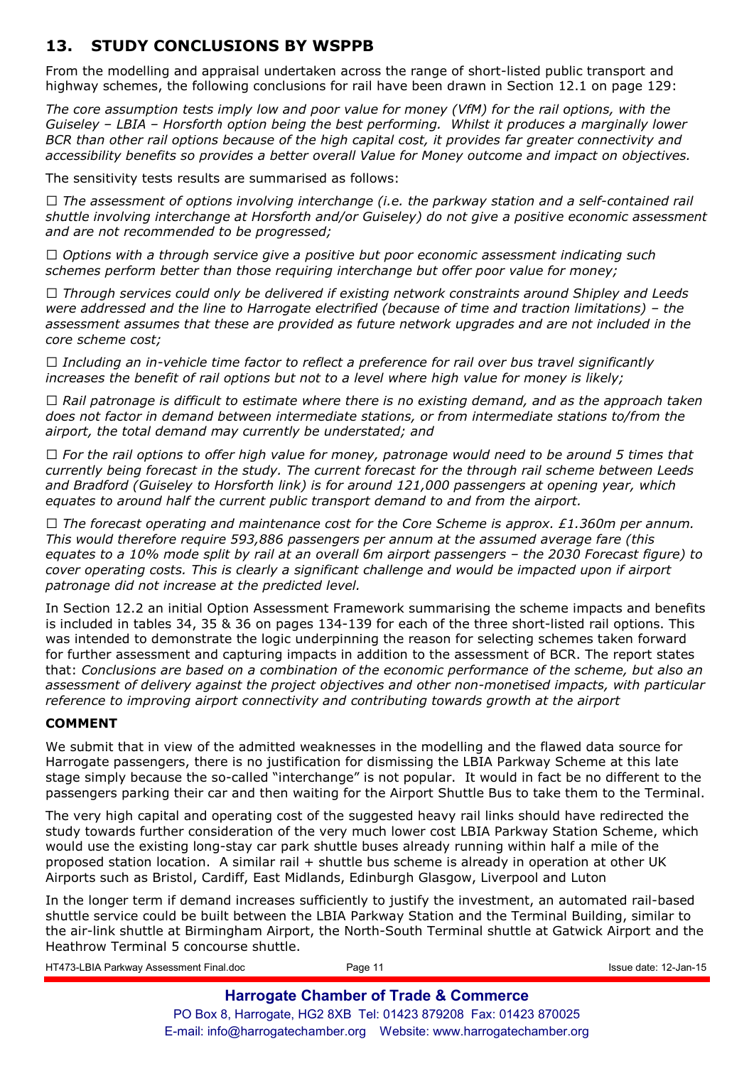# **13. STUDY CONCLUSIONS BY WSPPB**

From the modelling and appraisal undertaken across the range of short-listed public transport and highway schemes, the following conclusions for rail have been drawn in Section 12.1 on page 129:

*The core assumption tests imply low and poor value for money (VfM) for the rail options, with the Guiseley – LBIA – Horsforth option being the best performing. Whilst it produces a marginally lower BCR than other rail options because of the high capital cost, it provides far greater connectivity and accessibility benefits so provides a better overall Value for Money outcome and impact on objectives.* 

The sensitivity tests results are summarised as follows:

*Q The assessment of options involving interchange (i.e. the parkway station and a self-contained rail shuttle involving interchange at Horsforth and/or Guiseley) do not give a positive economic assessment and are not recommended to be progressed;* 

*Q Options with a through service give a positive but poor economic assessment indicating such schemes perform better than those requiring interchange but offer poor value for money;* 

*Q Through services could only be delivered if existing network constraints around Shipley and Leeds were addressed and the line to Harrogate electrified (because of time and traction limitations) – the assessment assumes that these are provided as future network upgrades and are not included in the core scheme cost;* 

*Q Including an in-vehicle time factor to reflect a preference for rail over bus travel significantly increases the benefit of rail options but not to a level where high value for money is likely;* 

*Q Rail patronage is difficult to estimate where there is no existing demand, and as the approach taken does not factor in demand between intermediate stations, or from intermediate stations to/from the airport, the total demand may currently be understated; and* 

*Q For the rail options to offer high value for money, patronage would need to be around 5 times that currently being forecast in the study. The current forecast for the through rail scheme between Leeds and Bradford (Guiseley to Horsforth link) is for around 121,000 passengers at opening year, which equates to around half the current public transport demand to and from the airport.* 

*Q The forecast operating and maintenance cost for the Core Scheme is approx. £1.360m per annum. This would therefore require 593,886 passengers per annum at the assumed average fare (this equates to a 10% mode split by rail at an overall 6m airport passengers – the 2030 Forecast figure) to cover operating costs. This is clearly a significant challenge and would be impacted upon if airport patronage did not increase at the predicted level.* 

In Section 12.2 an initial Option Assessment Framework summarising the scheme impacts and benefits is included in tables 34, 35 & 36 on pages 134-139 for each of the three short-listed rail options. This was intended to demonstrate the logic underpinning the reason for selecting schemes taken forward for further assessment and capturing impacts in addition to the assessment of BCR. The report states that: *Conclusions are based on a combination of the economic performance of the scheme, but also an assessment of delivery against the project objectives and other non-monetised impacts, with particular reference to improving airport connectivity and contributing towards growth at the airport* 

### **COMMENT**

We submit that in view of the admitted weaknesses in the modelling and the flawed data source for Harrogate passengers, there is no justification for dismissing the LBIA Parkway Scheme at this late stage simply because the so-called "interchange" is not popular. It would in fact be no different to the passengers parking their car and then waiting for the Airport Shuttle Bus to take them to the Terminal.

The very high capital and operating cost of the suggested heavy rail links should have redirected the study towards further consideration of the very much lower cost LBIA Parkway Station Scheme, which would use the existing long-stay car park shuttle buses already running within half a mile of the proposed station location. A similar rail + shuttle bus scheme is already in operation at other UK Airports such as Bristol, Cardiff, East Midlands, Edinburgh Glasgow, Liverpool and Luton

In the longer term if demand increases sufficiently to justify the investment, an automated rail-based shuttle service could be built between the LBIA Parkway Station and the Terminal Building, similar to the air-link shuttle at Birmingham Airport, the North-South Terminal shuttle at Gatwick Airport and the Heathrow Terminal 5 concourse shuttle.

| HT473-LBIA Parkway Assessment Final.doc | Page 11                                                          | Issue date: 12-Jan-15 |
|-----------------------------------------|------------------------------------------------------------------|-----------------------|
|                                         | <b>Harrogate Chamber of Trade &amp; Commerce</b>                 |                       |
|                                         | PO Box 8, Harrogate, HG2 8XB Tel: 01423 879208 Fax: 01423 870025 |                       |
|                                         |                                                                  |                       |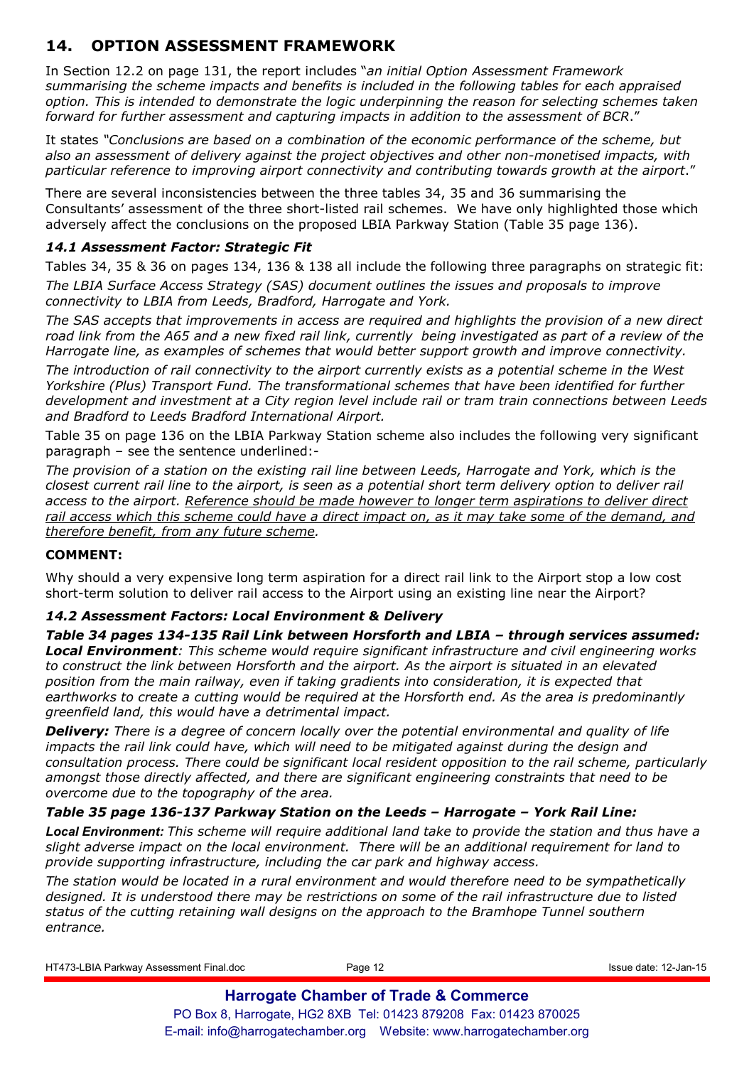# **14. OPTION ASSESSMENT FRAMEWORK**

In Section 12.2 on page 131, the report includes "*an initial Option Assessment Framework summarising the scheme impacts and benefits is included in the following tables for each appraised option. This is intended to demonstrate the logic underpinning the reason for selecting schemes taken forward for further assessment and capturing impacts in addition to the assessment of BCR*."

It states *"Conclusions are based on a combination of the economic performance of the scheme, but also an assessment of delivery against the project objectives and other non-monetised impacts, with particular reference to improving airport connectivity and contributing towards growth at the airport*."

There are several inconsistencies between the three tables 34, 35 and 36 summarising the Consultants' assessment of the three short-listed rail schemes. We have only highlighted those which adversely affect the conclusions on the proposed LBIA Parkway Station (Table 35 page 136).

### *14.1 Assessment Factor: Strategic Fit*

Tables 34, 35 & 36 on pages 134, 136 & 138 all include the following three paragraphs on strategic fit: *The LBIA Surface Access Strategy (SAS) document outlines the issues and proposals to improve connectivity to LBIA from Leeds, Bradford, Harrogate and York.* 

*The SAS accepts that improvements in access are required and highlights the provision of a new direct road link from the A65 and a new fixed rail link, currently being investigated as part of a review of the Harrogate line, as examples of schemes that would better support growth and improve connectivity.* 

*The introduction of rail connectivity to the airport currently exists as a potential scheme in the West Yorkshire (Plus) Transport Fund. The transformational schemes that have been identified for further development and investment at a City region level include rail or tram train connections between Leeds and Bradford to Leeds Bradford International Airport.* 

Table 35 on page 136 on the LBIA Parkway Station scheme also includes the following very significant paragraph – see the sentence underlined:-

*The provision of a station on the existing rail line between Leeds, Harrogate and York, which is the closest current rail line to the airport, is seen as a potential short term delivery option to deliver rail access to the airport. Reference should be made however to longer term aspirations to deliver direct rail access which this scheme could have a direct impact on, as it may take some of the demand, and therefore benefit, from any future scheme.* 

### **COMMENT:**

Why should a very expensive long term aspiration for a direct rail link to the Airport stop a low cost short-term solution to deliver rail access to the Airport using an existing line near the Airport?

### *14.2 Assessment Factors: Local Environment & Delivery*

*Table 34 pages 134-135 Rail Link between Horsforth and LBIA – through services assumed: Local Environment: This scheme would require significant infrastructure and civil engineering works*  to construct the link between Horsforth and the airport. As the airport is situated in an elevated *position from the main railway, even if taking gradients into consideration, it is expected that earthworks to create a cutting would be required at the Horsforth end. As the area is predominantly greenfield land, this would have a detrimental impact.*

*Delivery: There is a degree of concern locally over the potential environmental and quality of life impacts the rail link could have, which will need to be mitigated against during the design and consultation process. There could be significant local resident opposition to the rail scheme, particularly amongst those directly affected, and there are significant engineering constraints that need to be overcome due to the topography of the area.* 

### *Table 35 page 136-137 Parkway Station on the Leeds – Harrogate – York Rail Line:*

*Local Environment: This scheme will require additional land take to provide the station and thus have a slight adverse impact on the local environment. There will be an additional requirement for land to provide supporting infrastructure, including the car park and highway access.* 

*The station would be located in a rural environment and would therefore need to be sympathetically designed. It is understood there may be restrictions on some of the rail infrastructure due to listed status of the cutting retaining wall designs on the approach to the Bramhope Tunnel southern entrance.* 

HT473-LBIA Parkway Assessment Final.doc Page 12 Issue date: 12-Jan-15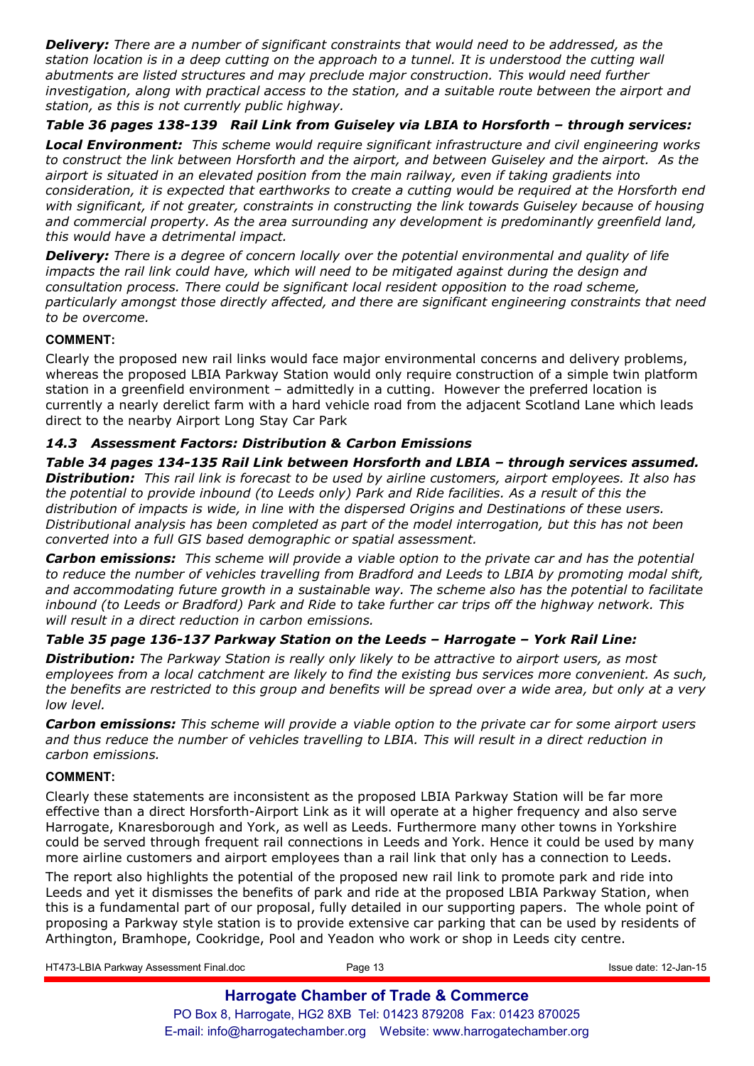*Delivery: There are a number of significant constraints that would need to be addressed, as the station location is in a deep cutting on the approach to a tunnel. It is understood the cutting wall abutments are listed structures and may preclude major construction. This would need further investigation, along with practical access to the station, and a suitable route between the airport and station, as this is not currently public highway.* 

*Table 36 pages 138-139 Rail Link from Guiseley via LBIA to Horsforth – through services:* 

*Local Environment: This scheme would require significant infrastructure and civil engineering works to construct the link between Horsforth and the airport, and between Guiseley and the airport. As the airport is situated in an elevated position from the main railway, even if taking gradients into consideration, it is expected that earthworks to create a cutting would be required at the Horsforth end with significant, if not greater, constraints in constructing the link towards Guiseley because of housing and commercial property. As the area surrounding any development is predominantly greenfield land, this would have a detrimental impact.* 

*Delivery: There is a degree of concern locally over the potential environmental and quality of life impacts the rail link could have, which will need to be mitigated against during the design and consultation process. There could be significant local resident opposition to the road scheme, particularly amongst those directly affected, and there are significant engineering constraints that need to be overcome.* 

#### **COMMENT:**

Clearly the proposed new rail links would face major environmental concerns and delivery problems, whereas the proposed LBIA Parkway Station would only require construction of a simple twin platform station in a greenfield environment – admittedly in a cutting. However the preferred location is currently a nearly derelict farm with a hard vehicle road from the adjacent Scotland Lane which leads direct to the nearby Airport Long Stay Car Park

### *14.3 Assessment Factors: Distribution & Carbon Emissions*

*Table 34 pages 134-135 Rail Link between Horsforth and LBIA – through services assumed. Distribution: This rail link is forecast to be used by airline customers, airport employees. It also has the potential to provide inbound (to Leeds only) Park and Ride facilities. As a result of this the distribution of impacts is wide, in line with the dispersed Origins and Destinations of these users. Distributional analysis has been completed as part of the model interrogation, but this has not been converted into a full GIS based demographic or spatial assessment.* 

*Carbon emissions: This scheme will provide a viable option to the private car and has the potential to reduce the number of vehicles travelling from Bradford and Leeds to LBIA by promoting modal shift, and accommodating future growth in a sustainable way. The scheme also has the potential to facilitate inbound (to Leeds or Bradford) Park and Ride to take further car trips off the highway network. This will result in a direct reduction in carbon emissions.* 

### *Table 35 page 136-137 Parkway Station on the Leeds – Harrogate – York Rail Line:*

*Distribution: The Parkway Station is really only likely to be attractive to airport users, as most employees from a local catchment are likely to find the existing bus services more convenient. As such, the benefits are restricted to this group and benefits will be spread over a wide area, but only at a very low level.*

*Carbon emissions: This scheme will provide a viable option to the private car for some airport users and thus reduce the number of vehicles travelling to LBIA. This will result in a direct reduction in carbon emissions.* 

### **COMMENT:**

Clearly these statements are inconsistent as the proposed LBIA Parkway Station will be far more effective than a direct Horsforth-Airport Link as it will operate at a higher frequency and also serve Harrogate, Knaresborough and York, as well as Leeds. Furthermore many other towns in Yorkshire could be served through frequent rail connections in Leeds and York. Hence it could be used by many more airline customers and airport employees than a rail link that only has a connection to Leeds.

The report also highlights the potential of the proposed new rail link to promote park and ride into Leeds and yet it dismisses the benefits of park and ride at the proposed LBIA Parkway Station, when this is a fundamental part of our proposal, fully detailed in our supporting papers. The whole point of proposing a Parkway style station is to provide extensive car parking that can be used by residents of Arthington, Bramhope, Cookridge, Pool and Yeadon who work or shop in Leeds city centre.

HT473-LBIA Parkway Assessment Final.doc Page 13 Issue date: 12-Jan-15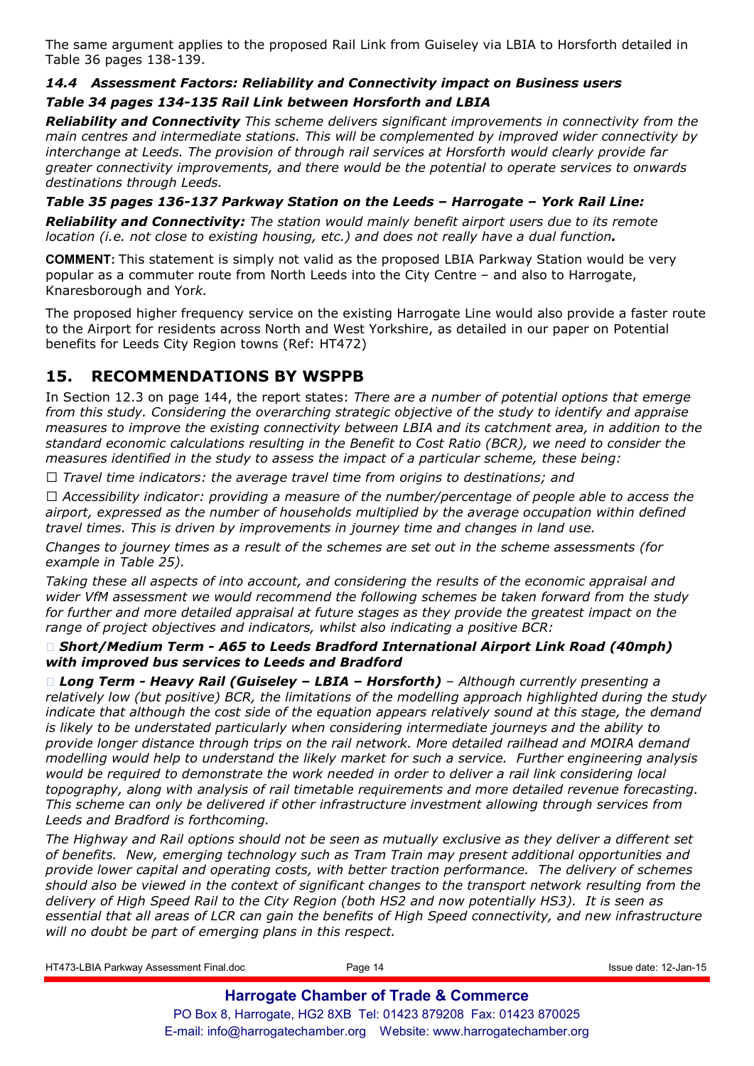The same argument applies to the proposed Rail Link from Guiseley via LBIA to Horsforth detailed in Table 36 pages 138-139.

# *14.4 Assessment Factors: Reliability and Connectivity impact on Business users*

### *Table 34 pages 134-135 Rail Link between Horsforth and LBIA*

*Reliability and Connectivity This scheme delivers significant improvements in connectivity from the main centres and intermediate stations. This will be complemented by improved wider connectivity by interchange at Leeds. The provision of through rail services at Horsforth would clearly provide far greater connectivity improvements, and there would be the potential to operate services to onwards destinations through Leeds.* 

*Table 35 pages 136-137 Parkway Station on the Leeds – Harrogate – York Rail Line: Reliability and Connectivity: The station would mainly benefit airport users due to its remote location (i.e. not close to existing housing, etc.) and does not really have a dual function.* 

**COMMENT:** This statement is simply not valid as the proposed LBIA Parkway Station would be very popular as a commuter route from North Leeds into the City Centre – and also to Harrogate, Knaresborough and Yor*k.* 

The proposed higher frequency service on the existing Harrogate Line would also provide a faster route to the Airport for residents across North and West Yorkshire, as detailed in our paper on Potential benefits for Leeds City Region towns (Ref: HT472)

# **15. RECOMMENDATIONS BY WSPPB**

In Section 12.3 on page 144, the report states: *There are a number of potential options that emerge from this study. Considering the overarching strategic objective of the study to identify and appraise measures to improve the existing connectivity between LBIA and its catchment area, in addition to the standard economic calculations resulting in the Benefit to Cost Ratio (BCR), we need to consider the measures identified in the study to assess the impact of a particular scheme, these being:* 

*Q Travel time indicators: the average travel time from origins to destinations; and* 

*Q Accessibility indicator: providing a measure of the number/percentage of people able to access the airport, expressed as the number of households multiplied by the average occupation within defined travel times. This is driven by improvements in journey time and changes in land use.* 

*Changes to journey times as a result of the schemes are set out in the scheme assessments (for example in Table 25).* 

*Taking these all aspects of into account, and considering the results of the economic appraisal and wider VfM assessment we would recommend the following schemes be taken forward from the study for further and more detailed appraisal at future stages as they provide the greatest impact on the range of project objectives and indicators, whilst also indicating a positive BCR:* 

### *Short/Medium Term - A65 to Leeds Bradford International Airport Link Road (40mph) with improved bus services to Leeds and Bradford*

**Long Term - Heavy Rail (Guiseley - LBIA - Horsforth)** - Although currently presenting a *relatively low (but positive) BCR, the limitations of the modelling approach highlighted during the study indicate that although the cost side of the equation appears relatively sound at this stage, the demand is likely to be understated particularly when considering intermediate journeys and the ability to provide longer distance through trips on the rail network. More detailed railhead and MOIRA demand modelling would help to understand the likely market for such a service. Further engineering analysis would be required to demonstrate the work needed in order to deliver a rail link considering local topography, along with analysis of rail timetable requirements and more detailed revenue forecasting. This scheme can only be delivered if other infrastructure investment allowing through services from Leeds and Bradford is forthcoming.* 

*The Highway and Rail options should not be seen as mutually exclusive as they deliver a different set of benefits. New, emerging technology such as Tram Train may present additional opportunities and provide lower capital and operating costs, with better traction performance. The delivery of schemes should also be viewed in the context of significant changes to the transport network resulting from the delivery of High Speed Rail to the City Region (both HS2 and now potentially HS3). It is seen as essential that all areas of LCR can gain the benefits of High Speed connectivity, and new infrastructure will no doubt be part of emerging plans in this respect.* 

HT473-LBIA Parkway Assessment Final.doc example and Page 14 Page 14 Issue date: 12-Jan-15 **Harrogate Chamber of Trade & Commerce** PO Box 8, Harrogate, HG2 8XB Tel: 01423 879208 Fax: 01423 870025

E-mail: info@harrogatechamber.org Website: www.harrogatechamber.org